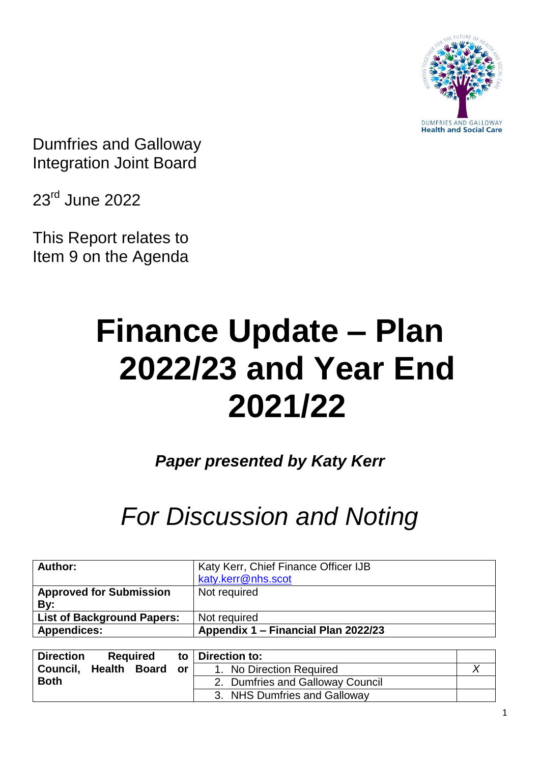

Dumfries and Galloway Integration Joint Board

23rd June 2022

This Report relates to Item 9 on the Agenda

# **Finance Update – Plan 2022/23 and Year End 2021/22**

*Paper presented by Katy Kerr*

# *For Discussion and Noting*

| Author:                               | Katy Kerr, Chief Finance Officer IJB<br>katy.kerr@nhs.scot |
|---------------------------------------|------------------------------------------------------------|
| <b>Approved for Submission</b><br>By: | Not required                                               |
| <b>List of Background Papers:</b>     | Not required                                               |
| <b>Appendices:</b>                    | Appendix 1 - Financial Plan 2022/23                        |

| <b>Direction</b> | <b>Required</b> |     | to   Direction to:               |  |
|------------------|-----------------|-----|----------------------------------|--|
| Council, Health  | Board           | or. | 1. No Direction Required         |  |
| <b>Both</b>      |                 |     | 2. Dumfries and Galloway Council |  |
|                  |                 |     | 3. NHS Dumfries and Galloway     |  |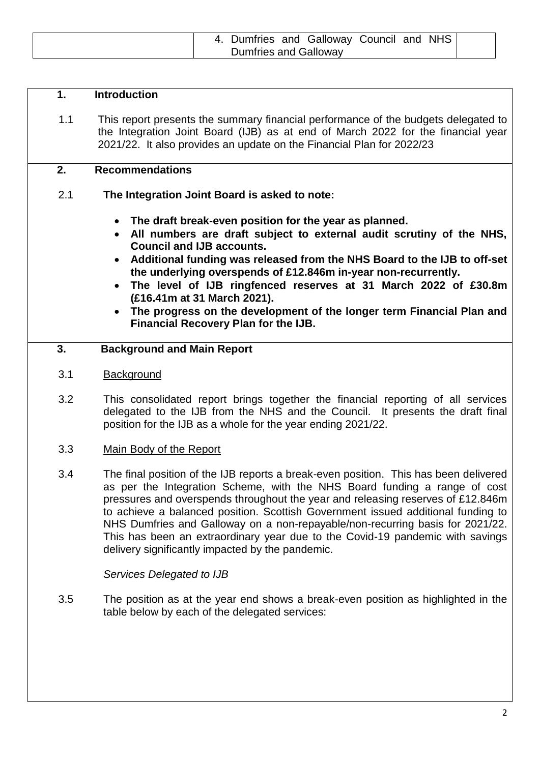| 4. Dumfries and Galloway Council and NHS |
|------------------------------------------|
| <b>Dumfries and Galloway</b>             |

## **1. Introduction**

1.1 This report presents the summary financial performance of the budgets delegated to the Integration Joint Board (IJB) as at end of March 2022 for the financial year 2021/22. It also provides an update on the Financial Plan for 2022/23

#### **2. Recommendations**

# 2.1 **The Integration Joint Board is asked to note:**

- **The draft break-even position for the year as planned.**
- **All numbers are draft subject to external audit scrutiny of the NHS, Council and IJB accounts.**
- **Additional funding was released from the NHS Board to the IJB to off-set the underlying overspends of £12.846m in-year non-recurrently.**
- **The level of IJB ringfenced reserves at 31 March 2022 of £30.8m (£16.41m at 31 March 2021).**
- **The progress on the development of the longer term Financial Plan and Financial Recovery Plan for the IJB.**

#### **3. Background and Main Report**

- 3.1 Background
- 3.2 This consolidated report brings together the financial reporting of all services delegated to the IJB from the NHS and the Council. It presents the draft final position for the IJB as a whole for the year ending 2021/22.
- 3.3 Main Body of the Report
- 3.4 The final position of the IJB reports a break-even position. This has been delivered as per the Integration Scheme, with the NHS Board funding a range of cost pressures and overspends throughout the year and releasing reserves of £12.846m to achieve a balanced position. Scottish Government issued additional funding to NHS Dumfries and Galloway on a non-repayable/non-recurring basis for 2021/22. This has been an extraordinary year due to the Covid-19 pandemic with savings delivery significantly impacted by the pandemic.

*Services Delegated to IJB*

3.5 The position as at the year end shows a break-even position as highlighted in the table below by each of the delegated services: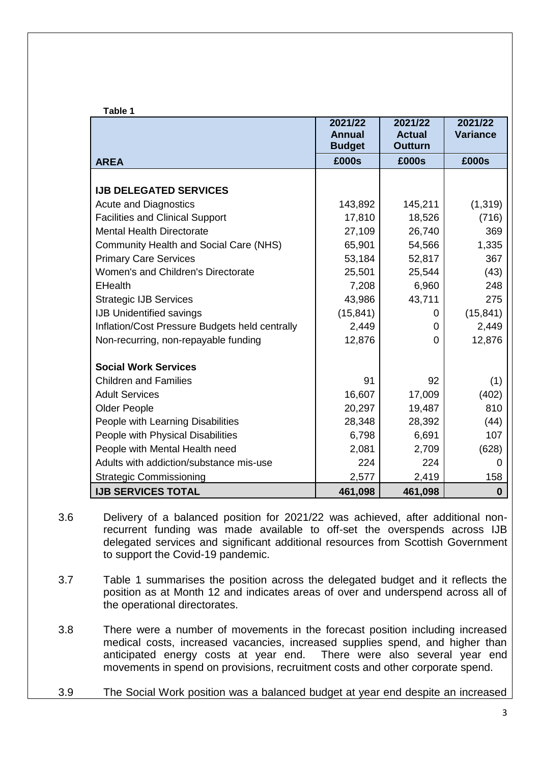| Table 1                                        | 2021/22                | 2021/22                 | 2021/22          |
|------------------------------------------------|------------------------|-------------------------|------------------|
|                                                | <b>Annual</b>          | <b>Actual</b>           | <b>Variance</b>  |
|                                                | <b>Budget</b><br>£000s | <b>Outturn</b><br>£000s | £000s            |
| <b>AREA</b>                                    |                        |                         |                  |
| <b>IJB DELEGATED SERVICES</b>                  |                        |                         |                  |
| <b>Acute and Diagnostics</b>                   | 143,892                | 145,211                 | (1, 319)         |
| <b>Facilities and Clinical Support</b>         | 17,810                 | 18,526                  | (716)            |
| <b>Mental Health Directorate</b>               | 27,109                 | 26,740                  | 369              |
| <b>Community Health and Social Care (NHS)</b>  | 65,901                 | 54,566                  | 1,335            |
| <b>Primary Care Services</b>                   | 53,184                 | 52,817                  | 367              |
| Women's and Children's Directorate             | 25,501                 | 25,544                  | (43)             |
| <b>EHealth</b>                                 | 7,208                  | 6,960                   | 248              |
| <b>Strategic IJB Services</b>                  | 43,986                 | 43,711                  | 275              |
| <b>IJB Unidentified savings</b>                | (15, 841)              | 0                       | (15, 841)        |
| Inflation/Cost Pressure Budgets held centrally | 2,449                  | 0                       | 2,449            |
| Non-recurring, non-repayable funding           | 12,876                 | $\Omega$                | 12,876           |
| <b>Social Work Services</b>                    |                        |                         |                  |
| <b>Children and Families</b>                   | 91                     | 92                      | (1)              |
| <b>Adult Services</b>                          | 16,607                 | 17,009                  | (402)            |
| <b>Older People</b>                            | 20,297                 | 19,487                  | 810              |
| People with Learning Disabilities              | 28,348                 | 28,392                  | (44)             |
| People with Physical Disabilities              | 6,798                  | 6,691                   | 107              |
| People with Mental Health need                 | 2,081                  | 2,709                   | (628)            |
| Adults with addiction/substance mis-use        | 224                    | 224                     | $\Omega$         |
| <b>Strategic Commissioning</b>                 | 2,577                  | 2,419                   | 158              |
| <b>IJB SERVICES TOTAL</b>                      | 461,098                | 461,098                 | $\boldsymbol{0}$ |

- 3.6 Delivery of a balanced position for 2021/22 was achieved, after additional nonrecurrent funding was made available to off-set the overspends across IJB delegated services and significant additional resources from Scottish Government to support the Covid-19 pandemic.
- 3.7 Table 1 summarises the position across the delegated budget and it reflects the position as at Month 12 and indicates areas of over and underspend across all of the operational directorates.
- 3.8 There were a number of movements in the forecast position including increased medical costs, increased vacancies, increased supplies spend, and higher than anticipated energy costs at year end. There were also several year end movements in spend on provisions, recruitment costs and other corporate spend.
- 3.9 The Social Work position was a balanced budget at year end despite an increased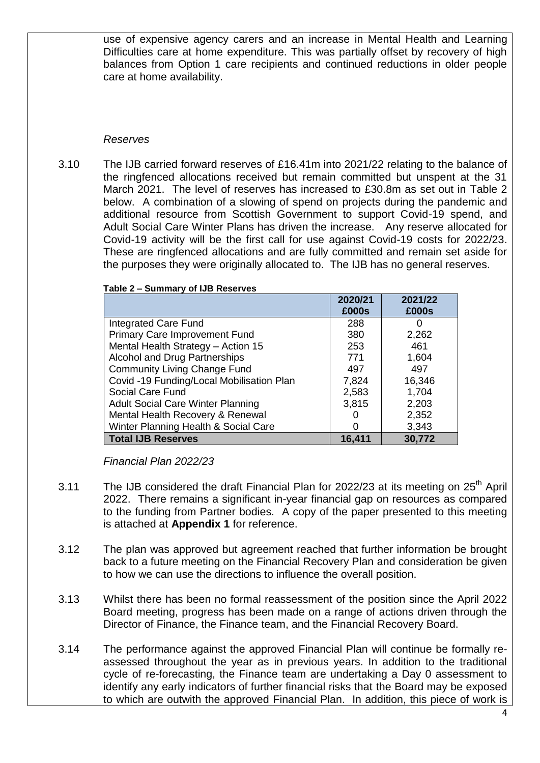use of expensive agency carers and an increase in Mental Health and Learning Difficulties care at home expenditure. This was partially offset by recovery of high balances from Option 1 care recipients and continued reductions in older people care at home availability.

#### *Reserves*

3.10 The IJB carried forward reserves of £16.41m into 2021/22 relating to the balance of the ringfenced allocations received but remain committed but unspent at the 31 March 2021. The level of reserves has increased to £30.8m as set out in Table 2 below. A combination of a slowing of spend on projects during the pandemic and additional resource from Scottish Government to support Covid-19 spend, and Adult Social Care Winter Plans has driven the increase. Any reserve allocated for Covid-19 activity will be the first call for use against Covid-19 costs for 2022/23. These are ringfenced allocations and are fully committed and remain set aside for the purposes they were originally allocated to. The IJB has no general reserves.

|                                           | 2020/21<br>£000s | 2021/22<br>£000s |
|-------------------------------------------|------------------|------------------|
| Integrated Care Fund                      | 288              |                  |
| <b>Primary Care Improvement Fund</b>      | 380              | 2,262            |
| Mental Health Strategy - Action 15        | 253              | 461              |
| Alcohol and Drug Partnerships             | 771              | 1,604            |
| <b>Community Living Change Fund</b>       | 497              | 497              |
| Covid -19 Funding/Local Mobilisation Plan | 7,824            | 16,346           |
| Social Care Fund                          | 2,583            | 1,704            |
| <b>Adult Social Care Winter Planning</b>  | 3,815            | 2,203            |
| Mental Health Recovery & Renewal          |                  | 2,352            |
| Winter Planning Health & Social Care      | 0                | 3,343            |
| <b>Total IJB Reserves</b>                 | 16,411           | 30,772           |

#### **Table 2 – Summary of IJB Reserves**

*Financial Plan 2022/23*

- 3.11 The IJB considered the draft Financial Plan for 2022/23 at its meeting on  $25<sup>th</sup>$  April 2022. There remains a significant in-year financial gap on resources as compared to the funding from Partner bodies. A copy of the paper presented to this meeting is attached at **Appendix 1** for reference.
- 3.12 The plan was approved but agreement reached that further information be brought back to a future meeting on the Financial Recovery Plan and consideration be given to how we can use the directions to influence the overall position.
- 3.13 Whilst there has been no formal reassessment of the position since the April 2022 Board meeting, progress has been made on a range of actions driven through the Director of Finance, the Finance team, and the Financial Recovery Board.
- 3.14 The performance against the approved Financial Plan will continue be formally reassessed throughout the year as in previous years. In addition to the traditional cycle of re-forecasting, the Finance team are undertaking a Day 0 assessment to identify any early indicators of further financial risks that the Board may be exposed to which are outwith the approved Financial Plan. In addition, this piece of work is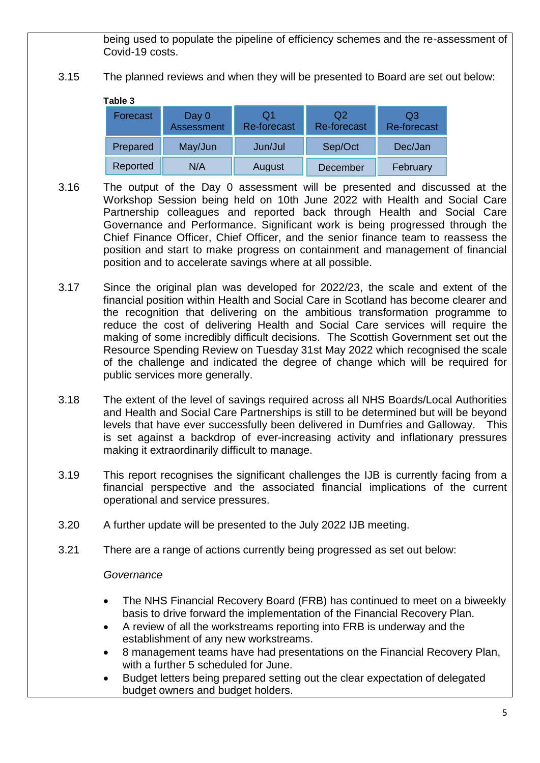being used to populate the pipeline of efficiency schemes and the re-assessment of Covid-19 costs.

3.15 The planned reviews and when they will be presented to Board are set out below:

**Table 3**

| Forecast | Day 0<br><b>Assessment</b> | O1<br><b>Re-forecast</b> | Q2<br><b>Re-forecast</b> | Q3<br><b>Re-forecast</b> |
|----------|----------------------------|--------------------------|--------------------------|--------------------------|
| Prepared | May/Jun                    | Jun/Jul                  | Sep/Oct                  | Dec/Jan                  |
| Reported | N/A                        | August                   | December                 | February                 |

- 3.16 The output of the Day 0 assessment will be presented and discussed at the Workshop Session being held on 10th June 2022 with Health and Social Care Partnership colleagues and reported back through Health and Social Care Governance and Performance. Significant work is being progressed through the Chief Finance Officer, Chief Officer, and the senior finance team to reassess the position and start to make progress on containment and management of financial position and to accelerate savings where at all possible.
- 3.17 Since the original plan was developed for 2022/23, the scale and extent of the financial position within Health and Social Care in Scotland has become clearer and the recognition that delivering on the ambitious transformation programme to reduce the cost of delivering Health and Social Care services will require the making of some incredibly difficult decisions. The Scottish Government set out the Resource Spending Review on Tuesday 31st May 2022 which recognised the scale of the challenge and indicated the degree of change which will be required for public services more generally.
- 3.18 The extent of the level of savings required across all NHS Boards/Local Authorities and Health and Social Care Partnerships is still to be determined but will be beyond levels that have ever successfully been delivered in Dumfries and Galloway. This is set against a backdrop of ever-increasing activity and inflationary pressures making it extraordinarily difficult to manage.
- 3.19 This report recognises the significant challenges the IJB is currently facing from a financial perspective and the associated financial implications of the current operational and service pressures.
- 3.20 A further update will be presented to the July 2022 IJB meeting.
- 3.21 There are a range of actions currently being progressed as set out below:

#### *Governance*

- The NHS Financial Recovery Board (FRB) has continued to meet on a biweekly basis to drive forward the implementation of the Financial Recovery Plan.
- A review of all the workstreams reporting into FRB is underway and the establishment of any new workstreams.
- 8 management teams have had presentations on the Financial Recovery Plan, with a further 5 scheduled for June.
- Budget letters being prepared setting out the clear expectation of delegated budget owners and budget holders.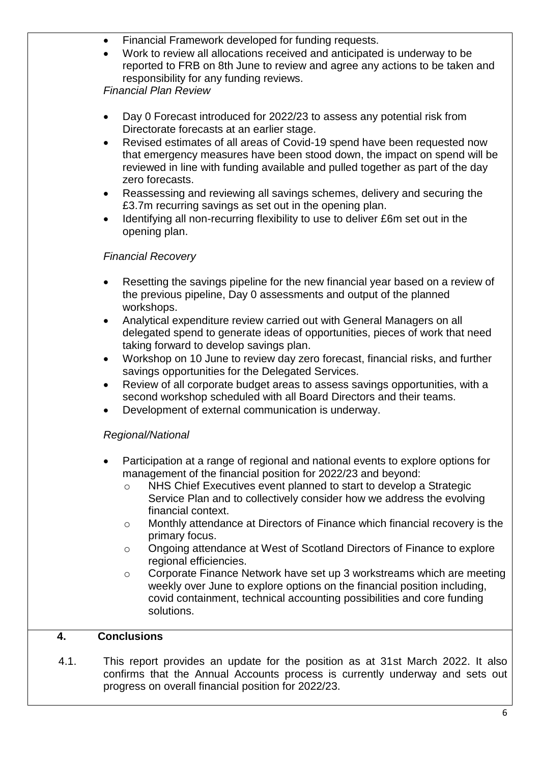- Financial Framework developed for funding requests.
- Work to review all allocations received and anticipated is underway to be reported to FRB on 8th June to review and agree any actions to be taken and responsibility for any funding reviews.

*Financial Plan Review*

- Day 0 Forecast introduced for 2022/23 to assess any potential risk from Directorate forecasts at an earlier stage.
- Revised estimates of all areas of Covid-19 spend have been requested now that emergency measures have been stood down, the impact on spend will be reviewed in line with funding available and pulled together as part of the day zero forecasts.
- Reassessing and reviewing all savings schemes, delivery and securing the £3.7m recurring savings as set out in the opening plan.
- Identifying all non-recurring flexibility to use to deliver £6m set out in the opening plan.

# *Financial Recovery*

- Resetting the savings pipeline for the new financial year based on a review of the previous pipeline, Day 0 assessments and output of the planned workshops.
- Analytical expenditure review carried out with General Managers on all delegated spend to generate ideas of opportunities, pieces of work that need taking forward to develop savings plan.
- Workshop on 10 June to review day zero forecast, financial risks, and further savings opportunities for the Delegated Services.
- Review of all corporate budget areas to assess savings opportunities, with a second workshop scheduled with all Board Directors and their teams.
- Development of external communication is underway.

# *Regional/National*

- Participation at a range of regional and national events to explore options for management of the financial position for 2022/23 and beyond:
	- o NHS Chief Executives event planned to start to develop a Strategic Service Plan and to collectively consider how we address the evolving financial context.
	- o Monthly attendance at Directors of Finance which financial recovery is the primary focus.
	- o Ongoing attendance at West of Scotland Directors of Finance to explore regional efficiencies.
	- o Corporate Finance Network have set up 3 workstreams which are meeting weekly over June to explore options on the financial position including, covid containment, technical accounting possibilities and core funding solutions.

# **4. Conclusions**

4.1. This report provides an update for the position as at 31st March 2022. It also confirms that the Annual Accounts process is currently underway and sets out progress on overall financial position for 2022/23.